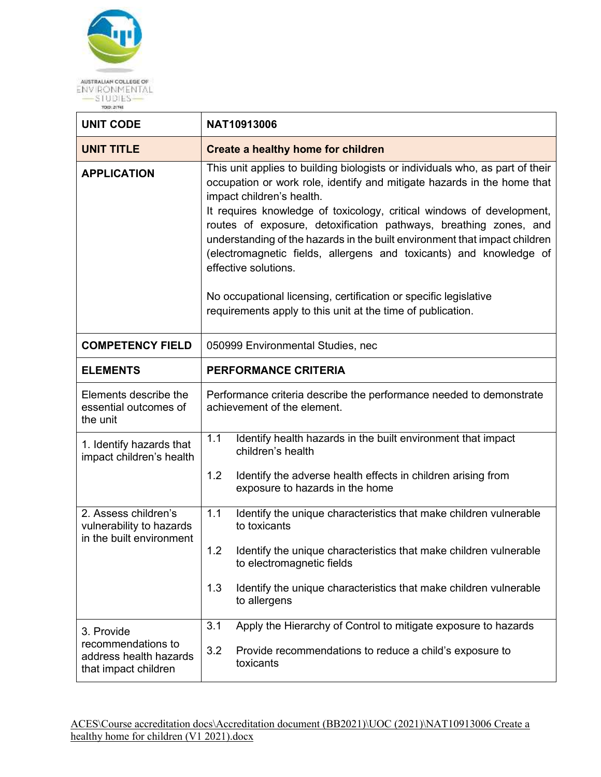

| <b>UNIT CODE</b>                                                                   | NAT10913006                                                                                                                                                                                                                                                                                                                                                                                                                                                                                                                                                                                                                                        |  |
|------------------------------------------------------------------------------------|----------------------------------------------------------------------------------------------------------------------------------------------------------------------------------------------------------------------------------------------------------------------------------------------------------------------------------------------------------------------------------------------------------------------------------------------------------------------------------------------------------------------------------------------------------------------------------------------------------------------------------------------------|--|
| <b>UNIT TITLE</b>                                                                  | <b>Create a healthy home for children</b>                                                                                                                                                                                                                                                                                                                                                                                                                                                                                                                                                                                                          |  |
| <b>APPLICATION</b>                                                                 | This unit applies to building biologists or individuals who, as part of their<br>occupation or work role, identify and mitigate hazards in the home that<br>impact children's health.<br>It requires knowledge of toxicology, critical windows of development,<br>routes of exposure, detoxification pathways, breathing zones, and<br>understanding of the hazards in the built environment that impact children<br>(electromagnetic fields, allergens and toxicants) and knowledge of<br>effective solutions.<br>No occupational licensing, certification or specific legislative<br>requirements apply to this unit at the time of publication. |  |
| <b>COMPETENCY FIELD</b>                                                            | 050999 Environmental Studies, nec                                                                                                                                                                                                                                                                                                                                                                                                                                                                                                                                                                                                                  |  |
| <b>ELEMENTS</b>                                                                    | PERFORMANCE CRITERIA                                                                                                                                                                                                                                                                                                                                                                                                                                                                                                                                                                                                                               |  |
| Elements describe the<br>essential outcomes of<br>the unit                         | Performance criteria describe the performance needed to demonstrate<br>achievement of the element.                                                                                                                                                                                                                                                                                                                                                                                                                                                                                                                                                 |  |
| 1. Identify hazards that<br>impact children's health                               | 1.1<br>Identify health hazards in the built environment that impact<br>children's health                                                                                                                                                                                                                                                                                                                                                                                                                                                                                                                                                           |  |
|                                                                                    | 1.2<br>Identify the adverse health effects in children arising from<br>exposure to hazards in the home                                                                                                                                                                                                                                                                                                                                                                                                                                                                                                                                             |  |
| 2. Assess children's<br>vulnerability to hazards<br>in the built environment       | 1.1<br>Identify the unique characteristics that make children vulnerable<br>to toxicants                                                                                                                                                                                                                                                                                                                                                                                                                                                                                                                                                           |  |
|                                                                                    | Identify the unique characteristics that make children vulnerable<br>1.2<br>to electromagnetic fields                                                                                                                                                                                                                                                                                                                                                                                                                                                                                                                                              |  |
|                                                                                    | 1.3<br>Identify the unique characteristics that make children vulnerable<br>to allergens                                                                                                                                                                                                                                                                                                                                                                                                                                                                                                                                                           |  |
| 3. Provide<br>recommendations to<br>address health hazards<br>that impact children | Apply the Hierarchy of Control to mitigate exposure to hazards<br>3.1<br>3.2<br>Provide recommendations to reduce a child's exposure to<br>toxicants                                                                                                                                                                                                                                                                                                                                                                                                                                                                                               |  |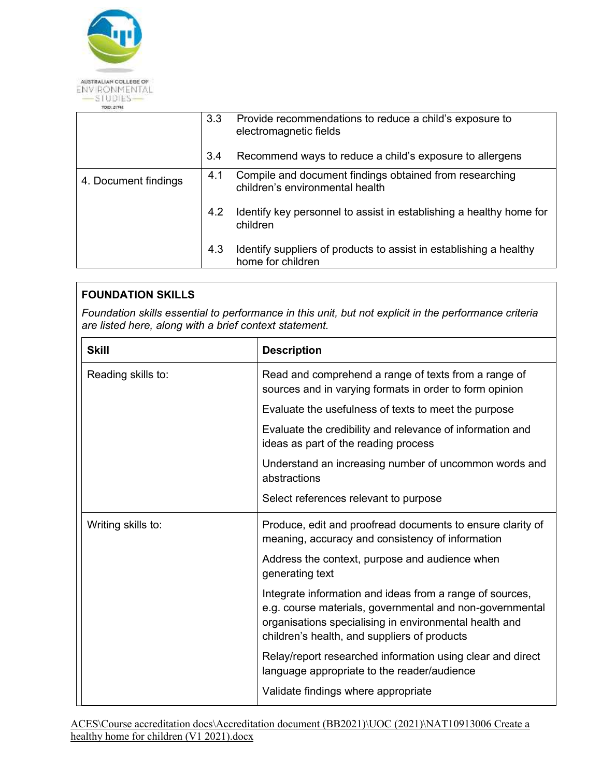

|                      | 3.3 | Provide recommendations to reduce a child's exposure to<br>electromagnetic fields          |
|----------------------|-----|--------------------------------------------------------------------------------------------|
|                      | 3.4 | Recommend ways to reduce a child's exposure to allergens                                   |
| 4. Document findings | 4.1 | Compile and document findings obtained from researching<br>children's environmental health |
|                      | 4.2 | Identify key personnel to assist in establishing a healthy home for<br>children            |
|                      | 4.3 | Identify suppliers of products to assist in establishing a healthy<br>home for children    |

## **FOUNDATION SKILLS**

*Foundation skills essential to performance in this unit, but not explicit in the performance criteria are listed here, along with a brief context statement.* 

| <b>Skill</b>       | <b>Description</b>                                                                                                                                                                                                             |
|--------------------|--------------------------------------------------------------------------------------------------------------------------------------------------------------------------------------------------------------------------------|
| Reading skills to: | Read and comprehend a range of texts from a range of<br>sources and in varying formats in order to form opinion                                                                                                                |
|                    | Evaluate the usefulness of texts to meet the purpose                                                                                                                                                                           |
|                    | Evaluate the credibility and relevance of information and<br>ideas as part of the reading process                                                                                                                              |
|                    | Understand an increasing number of uncommon words and<br>abstractions                                                                                                                                                          |
|                    | Select references relevant to purpose                                                                                                                                                                                          |
| Writing skills to: | Produce, edit and proofread documents to ensure clarity of<br>meaning, accuracy and consistency of information                                                                                                                 |
|                    | Address the context, purpose and audience when<br>generating text                                                                                                                                                              |
|                    | Integrate information and ideas from a range of sources,<br>e.g. course materials, governmental and non-governmental<br>organisations specialising in environmental health and<br>children's health, and suppliers of products |
|                    | Relay/report researched information using clear and direct<br>language appropriate to the reader/audience                                                                                                                      |
|                    | Validate findings where appropriate                                                                                                                                                                                            |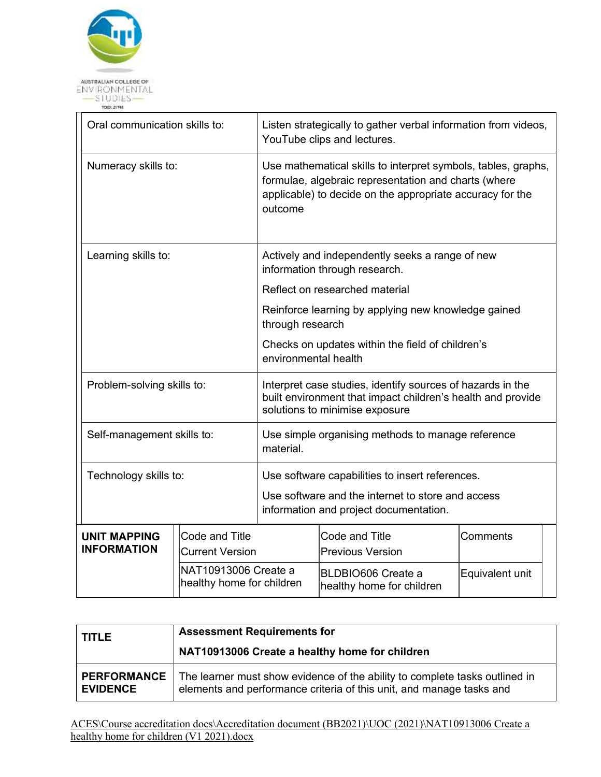

| Oral communication skills to:             |                                          |                           | Listen strategically to gather verbal information from videos,<br>YouTube clips and lectures.                                                                                      |                 |  |
|-------------------------------------------|------------------------------------------|---------------------------|------------------------------------------------------------------------------------------------------------------------------------------------------------------------------------|-----------------|--|
| Numeracy skills to:                       |                                          | outcome                   | Use mathematical skills to interpret symbols, tables, graphs,<br>formulae, algebraic representation and charts (where<br>applicable) to decide on the appropriate accuracy for the |                 |  |
| Learning skills to:                       |                                          |                           | Actively and independently seeks a range of new<br>information through research.                                                                                                   |                 |  |
|                                           |                                          |                           | Reflect on researched material                                                                                                                                                     |                 |  |
|                                           |                                          |                           | Reinforce learning by applying new knowledge gained<br>through research                                                                                                            |                 |  |
|                                           |                                          |                           | Checks on updates within the field of children's<br>environmental health                                                                                                           |                 |  |
| Problem-solving skills to:                |                                          |                           | Interpret case studies, identify sources of hazards in the<br>built environment that impact children's health and provide<br>solutions to minimise exposure                        |                 |  |
| Self-management skills to:                |                                          | material.                 | Use simple organising methods to manage reference                                                                                                                                  |                 |  |
| Technology skills to:                     |                                          |                           | Use software capabilities to insert references.                                                                                                                                    |                 |  |
|                                           |                                          |                           | Use software and the internet to store and access<br>information and project documentation.                                                                                        |                 |  |
| <b>UNIT MAPPING</b><br><b>INFORMATION</b> | Code and Title<br><b>Current Version</b> |                           | Code and Title<br><b>Previous Version</b>                                                                                                                                          | Comments        |  |
|                                           | NAT10913006 Create a                     | healthy home for children | BLDBIO606 Create a<br>healthy home for children                                                                                                                                    | Equivalent unit |  |

| I TITLE            | <b>Assessment Requirements for</b><br>NAT10913006 Create a healthy home for children |
|--------------------|--------------------------------------------------------------------------------------|
| <b>PERFORMANCE</b> | The learner must show evidence of the ability to complete tasks outlined in          |
| <b>EVIDENCE</b>    | elements and performance criteria of this unit, and manage tasks and                 |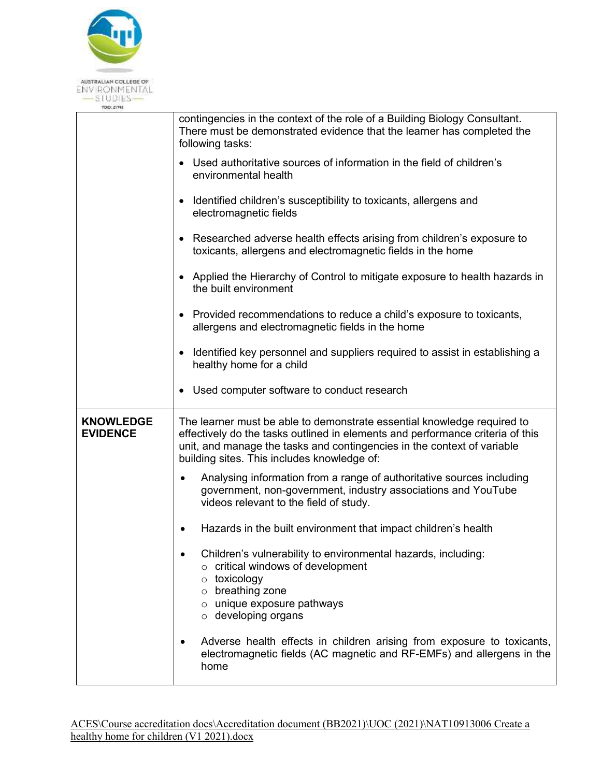

|                                     | contingencies in the context of the role of a Building Biology Consultant.<br>There must be demonstrated evidence that the learner has completed the<br>following tasks:                                                                                                            |
|-------------------------------------|-------------------------------------------------------------------------------------------------------------------------------------------------------------------------------------------------------------------------------------------------------------------------------------|
|                                     | Used authoritative sources of information in the field of children's<br>environmental health                                                                                                                                                                                        |
|                                     | Identified children's susceptibility to toxicants, allergens and<br>electromagnetic fields                                                                                                                                                                                          |
|                                     | Researched adverse health effects arising from children's exposure to<br>$\bullet$<br>toxicants, allergens and electromagnetic fields in the home                                                                                                                                   |
|                                     | Applied the Hierarchy of Control to mitigate exposure to health hazards in<br>the built environment                                                                                                                                                                                 |
|                                     | Provided recommendations to reduce a child's exposure to toxicants,<br>allergens and electromagnetic fields in the home                                                                                                                                                             |
|                                     | Identified key personnel and suppliers required to assist in establishing a<br>healthy home for a child                                                                                                                                                                             |
|                                     | Used computer software to conduct research                                                                                                                                                                                                                                          |
|                                     |                                                                                                                                                                                                                                                                                     |
| <b>KNOWLEDGE</b><br><b>EVIDENCE</b> | The learner must be able to demonstrate essential knowledge required to<br>effectively do the tasks outlined in elements and performance criteria of this<br>unit, and manage the tasks and contingencies in the context of variable<br>building sites. This includes knowledge of: |
|                                     | Analysing information from a range of authoritative sources including<br>government, non-government, industry associations and YouTube<br>videos relevant to the field of study.                                                                                                    |
|                                     | Hazards in the built environment that impact children's health<br>$\bullet$                                                                                                                                                                                                         |
|                                     | Children's vulnerability to environmental hazards, including:<br>$\circ$ critical windows of development<br>$\circ$ toxicology<br>$\circ$ breathing zone<br>$\circ$ unique exposure pathways<br>$\circ$ developing organs                                                           |